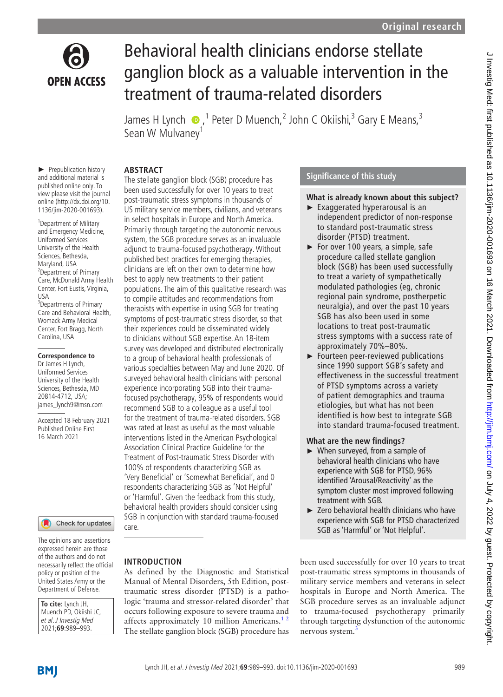

# Behavioral health clinicians endorse stellate ganglion block as a valuable intervention in the treatment of trauma-related disorders

JamesH Lynch  $\bigcirc$ , <sup>1</sup> Peter D Muench, 2 John C Okiishi, <sup>3</sup> Gary E Means, 3 Sean W Mulvaney<sup>1</sup>

## **ABSTRACT**

► Prepublication history and additional material is published online only. To view please visit the journal online (http://dx.doi.org/10. 1136/jim-2020-001693).

1 Department of Military and Emergency Medicine, Uniformed Services University of the Health Sciences, Bethesda, Maryland, USA 2 Department of Primary Care, McDonald Army Health Center, Fort Eustis, Virginia, USA <sup>3</sup>Departments of Primary Care and Behavioral Health, Womack Army Medical Center, Fort Bragg, North Carolina, USA

#### **Correspondence to**

Dr James H Lynch, Uniformed Services University of the Health Sciences, Bethesda, MD 20814-4712, USA; james\_lynch9@msn.com

Accepted 18 February 2021 Published Online First 16 March 2021

Check for updates

The opinions and assertions expressed herein are those of the authors and do not necessarily reflect the official policy or position of the United States Army or the Department of Defense.

**To cite:** Lynch JH, Muench PD, Okiishi JC, et al. J Investig Med 2021;**69**:989–993.

The stellate ganglion block (SGB) procedure has been used successfully for over 10 years to treat post-traumatic stress symptoms in thousands of US military service members, civilians, and veterans in select hospitals in Europe and North America. Primarily through targeting the autonomic nervous system, the SGB procedure serves as an invaluable adjunct to trauma-focused psychotherapy. Without published best practices for emerging therapies, clinicians are left on their own to determine how best to apply new treatments to their patient populations. The aim of this qualitative research was to compile attitudes and recommendations from therapists with expertise in using SGB for treating symptoms of post-traumatic stress disorder, so that their experiences could be disseminated widely to clinicians without SGB expertise. An 18-item survey was developed and distributed electronically to a group of behavioral health professionals of various specialties between May and June 2020. Of surveyed behavioral health clinicians with personal experience incorporating SGB into their traumafocused psychotherapy, 95% of respondents would recommend SGB to a colleague as a useful tool for the treatment of trauma-related disorders. SGB was rated at least as useful as the most valuable interventions listed in the American Psychological Association Clinical Practice Guideline for the Treatment of Post-traumatic Stress Disorder with 100% of respondents characterizing SGB as 'Very Beneficial' or 'Somewhat Beneficial', and 0 respondents characterizing SGB as 'Not Helpful' or 'Harmful'. Given the feedback from this study, behavioral health providers should consider using SGB in conjunction with standard trauma-focused care.

## **INTRODUCTION**

As defined by the Diagnostic and Statistical Manual of Mental Disorders, 5th Edition, posttraumatic stress disorder (PTSD) is a pathologic 'trauma and stressor-related disorder' that occurs following exposure to severe trauma and affects approximately 10 million Americans.<sup>12</sup> The stellate ganglion block (SGB) procedure has

# **Significance of this study**

## **What is already known about this subject?**

- ► Exaggerated hyperarousal is an independent predictor of non-response to standard post-traumatic stress disorder (PTSD) treatment.
- ► For over 100 years, a simple, safe procedure called stellate ganglion block (SGB) has been used successfully to treat a variety of sympathetically modulated pathologies (eg, chronic regional pain syndrome, postherpetic neuralgia), and over the past 10 years SGB has also been used in some locations to treat post-traumatic stress symptoms with a success rate of approximately 70%–80%.
- ► Fourteen peer-reviewed publications since 1990 support SGB's safety and effectiveness in the successful treatment of PTSD symptoms across a variety of patient demographics and trauma etiologies, but what has not been identified is how best to integrate SGB into standard trauma-focused treatment.

## **What are the new findings?**

- ► When surveyed, from a sample of behavioral health clinicians who have experience with SGB for PTSD, 96% identified 'Arousal/Reactivity' as the symptom cluster most improved following treatment with SGB.
- ► Zero behavioral health clinicians who have experience with SGB for PTSD characterized SGB as 'Harmful' or 'Not Helpful'.

been used successfully for over 10 years to treat post-traumatic stress symptoms in thousands of military service members and veterans in select hospitals in Europe and North America. The SGB procedure serves as an invaluable adjunct to trauma-focused psychotherapy primarily through targeting dysfunction of the autonomic nervous system.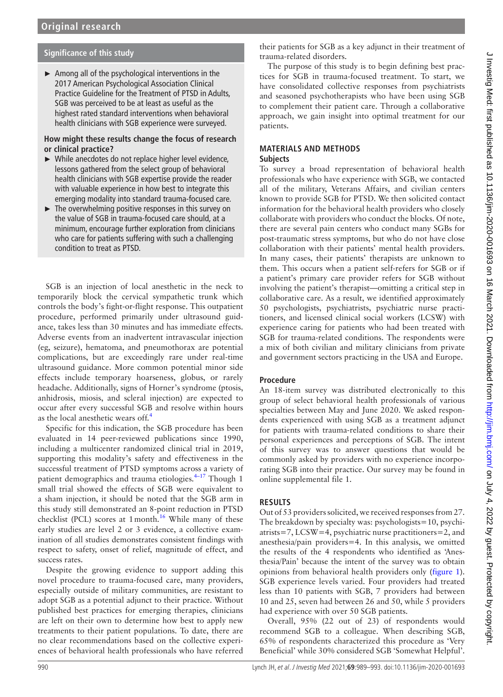# **Significance of this study**

► Among all of the psychological interventions in the 2017 American Psychological Association Clinical Practice Guideline for the Treatment of PTSD in Adults, SGB was perceived to be at least as useful as the highest rated standard interventions when behavioral health clinicians with SGB experience were surveyed.

#### **How might these results change the focus of research or clinical practice?**

- ► While anecdotes do not replace higher level evidence, lessons gathered from the select group of behavioral health clinicians with SGB expertise provide the reader with valuable experience in how best to integrate this emerging modality into standard trauma-focused care.
- $\blacktriangleright$  The overwhelming positive responses in this survey on the value of SGB in trauma-focused care should, at a minimum, encourage further exploration from clinicians who care for patients suffering with such a challenging condition to treat as PTSD.

SGB is an injection of local anesthetic in the neck to temporarily block the cervical sympathetic trunk which controls the body's fight-or-flight response. This outpatient procedure, performed primarily under ultrasound guidance, takes less than 30 minutes and has immediate effects. Adverse events from an inadvertent intravascular injection (eg, seizure), hematoma, and pneumothorax are potential complications, but are exceedingly rare under real-time ultrasound guidance. More common potential minor side effects include temporary hoarseness, globus, or rarely headache. Additionally, signs of Horner's syndrome (ptosis, anhidrosis, miosis, and scleral injection) are expected to occur after every successful SGB and resolve within hours as the local anesthetic wears off.<sup>[4](#page-4-0)</sup>

Specific for this indication, the SGB procedure has been evaluated in 14 peer-reviewed publications since 1990, including a multicenter randomized clinical trial in 2019, supporting this modality's safety and effectiveness in the successful treatment of PTSD symptoms across a variety of patient demographics and trauma etiologies.<sup>4-17</sup> Though 1 small trial showed the effects of SGB were equivalent to a sham injection, it should be noted that the SGB arm in this study still demonstrated an 8-point reduction in PTSD checklist (PCL) scores at 1 month.<sup>16</sup> While many of these early studies are level 2 or 3 evidence, a collective examination of all studies demonstrates consistent findings with respect to safety, onset of relief, magnitude of effect, and success rates.

Despite the growing evidence to support adding this novel procedure to trauma-focused care, many providers, especially outside of military communities, are resistant to adopt SGB as a potential adjunct to their practice. Without published best practices for emerging therapies, clinicians are left on their own to determine how best to apply new treatments to their patient populations. To date, there are no clear recommendations based on the collective experiences of behavioral health professionals who have referred

their patients for SGB as a key adjunct in their treatment of trauma-related disorders.

The purpose of this study is to begin defining best practices for SGB in trauma-focused treatment. To start, we have consolidated collective responses from psychiatrists and seasoned psychotherapists who have been using SGB to complement their patient care. Through a collaborative approach, we gain insight into optimal treatment for our patients.

# **MATERIALS AND METHODS**

## **Subjects**

To survey a broad representation of behavioral health professionals who have experience with SGB, we contacted all of the military, Veterans Affairs, and civilian centers known to provide SGB for PTSD. We then solicited contact information for the behavioral health providers who closely collaborate with providers who conduct the blocks. Of note, there are several pain centers who conduct many SGBs for post-traumatic stress symptoms, but who do not have close collaboration with their patients' mental health providers. In many cases, their patients' therapists are unknown to them. This occurs when a patient self-refers for SGB or if a patient's primary care provider refers for SGB without involving the patient's therapist—omitting a critical step in collaborative care. As a result, we identified approximately 50 psychologists, psychiatrists, psychiatric nurse practitioners, and licensed clinical social workers (LCSW) with experience caring for patients who had been treated with SGB for trauma-related conditions. The respondents were a mix of both civilian and military clinicians from private and government sectors practicing in the USA and Europe.

## **Procedure**

An 18-item survey was distributed electronically to this group of select behavioral health professionals of various specialties between May and June 2020. We asked respondents experienced with using SGB as a treatment adjunct for patients with trauma-related conditions to share their personal experiences and perceptions of SGB. The intent of this survey was to answer questions that would be commonly asked by providers with no experience incorporating SGB into their practice. Our survey may be found in [online supplemental file 1](https://dx.doi.org/10.1136/jim-2020-001693).

## **RESULTS**

Out of 53 providers solicited, we received responses from 27. The breakdown by specialty was: psychologists=10, psychiatrists=7, LCSW=4, psychiatric nurse practitioners=2, and anesthesia/pain providers=4. In this analysis, we omitted the results of the 4 respondents who identified as 'Anesthesia/Pain' because the intent of the survey was to obtain opinions from behavioral health providers only [\(figure](#page-2-0) 1). SGB experience levels varied. Four providers had treated less than 10 patients with SGB, 7 providers had between 10 and 25, seven had between 26 and 50, while 5 providers had experience with over 50 SGB patients.

Overall, 95% (22 out of 23) of respondents would recommend SGB to a colleague. When describing SGB, 65% of respondents characterized this procedure as 'Very Beneficial' while 30% considered SGB 'Somewhat Helpful'.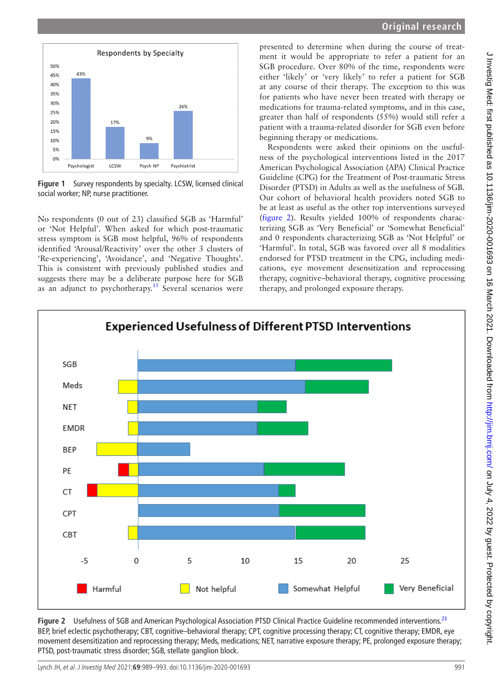

<span id="page-2-0"></span>**Figure 1** Survey respondents by specialty. LCSW, licensed clinical social worker; NP, nurse practitioner.

No respondents (0 out of 23) classified SGB as 'Harmful' or 'Not Helpful'. When asked for which post-traumatic stress symptom is SGB most helpful, 96% of respondents identified 'Arousal/Reactivity' over the other 3 clusters of 'Re-experiencing', 'Avoidance', and 'Negative Thoughts'. This is consistent with previously published studies and suggests there may be a deliberate purpose here for SGB as an adjunct to psychotherapy.<sup>[15](#page-4-2)</sup> Several scenarios were presented to determine when during the course of treatment it would be appropriate to refer a patient for an SGB procedure. Over 80% of the time, respondents were either 'likely' or 'very likely' to refer a patient for SGB at any course of their therapy. The exception to this was for patients who have never been treated with therapy or medications for trauma-related symptoms, and in this case, greater than half of respondents (55%) would still refer a patient with a trauma-related disorder for SGB even before beginning therapy or medications.

Respondents were asked their opinions on the usefulness of the psychological interventions listed in the 2017 American Psychological Association (APA) Clinical Practice Guideline (CPG) for the Treatment of Post-traumatic Stress Disorder (PTSD) in Adults as well as the usefulness of SGB. Our cohort of behavioral health providers noted SGB to be at least as useful as the other top interventions surveyed [\(figure](#page-2-1) 2). Results yielded 100% of respondents characterizing SGB as 'Very Beneficial' or 'Somewhat Beneficial' and 0 respondents characterizing SGB as 'Not Helpful' or 'Harmful'. In total, SGB was favored over all 8 modalities endorsed for PTSD treatment in the CPG, including medications, eye movement desensitization and reprocessing therapy, cognitive–behavioral therapy, cognitive processing therapy, and prolonged exposure therapy.



<span id="page-2-1"></span>Figure 2 Usefulness of SGB and American Psychological Association PTSD Clinical Practice Guideline recommended interventions.<sup>[23](#page-4-3)</sup> BEP, brief eclectic psychotherapy; CBT, cognitive–behavioral therapy; CPT, cognitive processing therapy; CT, cognitive therapy; EMDR, eye movement desensitization and reprocessing therapy; Meds, medications; NET, narrative exposure therapy; PE, prolonged exposure therapy; PTSD, post-traumatic stress disorder; SGB, stellate ganglion block.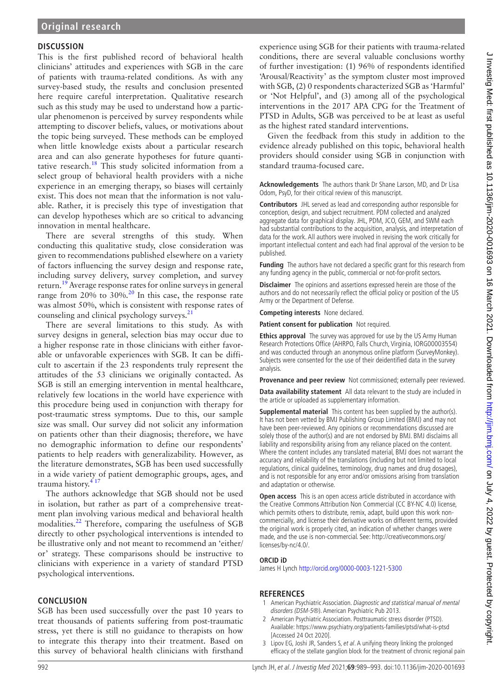## **DISCUSSION**

This is the first published record of behavioral health clinicians' attitudes and experiences with SGB in the care of patients with trauma-related conditions. As with any survey-based study, the results and conclusion presented here require careful interpretation. Qualitative research such as this study may be used to understand how a particular phenomenon is perceived by survey respondents while attempting to discover beliefs, values, or motivations about the topic being surveyed. These methods can be employed when little knowledge exists about a particular research area and can also generate hypotheses for future quantitative research. $^{18}$  This study solicited information from a select group of behavioral health providers with a niche experience in an emerging therapy, so biases will certainly exist. This does not mean that the information is not valuable. Rather, it is precisely this type of investigation that can develop hypotheses which are so critical to advancing innovation in mental healthcare.

There are several strengths of this study. When conducting this qualitative study, close consideration was given to recommendations published elsewhere on a variety of factors influencing the survey design and response rate, including survey delivery, survey completion, and survey return.<sup>[19](#page-4-5)</sup> Average response rates for online surveys in general range from  $20\%$  $20\%$  to  $30\%$ .<sup>20</sup> In this case, the response rate was almost 50%, which is consistent with response rates of counseling and clinical psychology surveys.<sup>2</sup>

There are several limitations to this study. As with survey designs in general, selection bias may occur due to a higher response rate in those clinicians with either favorable or unfavorable experiences with SGB. It can be difficult to ascertain if the 23 respondents truly represent the attitudes of the 53 clinicians we originally contacted. As SGB is still an emerging intervention in mental healthcare, relatively few locations in the world have experience with this procedure being used in conjunction with therapy for post-traumatic stress symptoms. Due to this, our sample size was small. Our survey did not solicit any information on patients other than their diagnosis; therefore, we have no demographic information to define our respondents' patients to help readers with generalizability. However, as the literature demonstrates, SGB has been used successfully in a wide variety of patient demographic groups, ages, and trauma history.<sup>4</sup>

The authors acknowledge that SGB should not be used in isolation, but rather as part of a comprehensive treatment plan involving various medical and behavioral health modalities.<sup>22</sup> Therefore, comparing the usefulness of SGB directly to other psychological interventions is intended to be illustrative only and not meant to recommend an 'either/ or' strategy. These comparisons should be instructive to clinicians with experience in a variety of standard PTSD psychological interventions.

## **CONCLUSION**

SGB has been used successfully over the past 10 years to treat thousands of patients suffering from post-traumatic stress, yet there is still no guidance to therapists on how to integrate this therapy into their treatment. Based on this survey of behavioral health clinicians with firsthand

experience using SGB for their patients with trauma-related conditions, there are several valuable conclusions worthy of further investigation: (1) 96% of respondents identified 'Arousal/Reactivity' as the symptom cluster most improved with SGB, (2) 0 respondents characterized SGB as 'Harmful' or 'Not Helpful', and (3) among all of the psychological interventions in the 2017 APA CPG for the Treatment of PTSD in Adults, SGB was perceived to be at least as useful as the highest rated standard interventions.

Given the feedback from this study in addition to the evidence already published on this topic, behavioral health providers should consider using SGB in conjunction with standard trauma-focused care.

**Acknowledgements** The authors thank Dr Shane Larson, MD, and Dr Lisa Odom, PsyD, for their critical review of this manuscript.

**Contributors** JHL served as lead and corresponding author responsible for conception, design, and subject recruitment. PDM collected and analyzed aggregate data for graphical display. JHL, PDM, JCO, GEM, and SWM each had substantial contributions to the acquisition, analysis, and interpretation of data for the work. All authors were involved in revising the work critically for important intellectual content and each had final approval of the version to be published.

**Funding** The authors have not declared a specific grant for this research from any funding agency in the public, commercial or not-for-profit sectors.

**Disclaimer** The opinions and assertions expressed herein are those of the authors and do not necessarily reflect the official policy or position of the US Army or the Department of Defense.

**Competing interests** None declared.

**Patient consent for publication** Not required.

**Ethics approval** The survey was approved for use by the US Army Human Research Protections Office (AHRPO, Falls Church, Virginia, IORG00003554) and was conducted through an anonymous online platform (SurveyMonkey). Subjects were consented for the use of their deidentified data in the survey analysis.

**Provenance and peer review** Not commissioned; externally peer reviewed.

**Data availability statement** All data relevant to the study are included in the article or uploaded as supplementary information.

**Supplemental material** This content has been supplied by the author(s). It has not been vetted by BMJ Publishing Group Limited (BMJ) and may not have been peer-reviewed. Any opinions or recommendations discussed are solely those of the author(s) and are not endorsed by BMJ. BMJ disclaims all liability and responsibility arising from any reliance placed on the content. Where the content includes any translated material, BMJ does not warrant the accuracy and reliability of the translations (including but not limited to local regulations, clinical guidelines, terminology, drug names and drug dosages), and is not responsible for any error and/or omissions arising from translation and adaptation or otherwise.

**Open access** This is an open access article distributed in accordance with the Creative Commons Attribution Non Commercial (CC BY-NC 4.0) license, which permits others to distribute, remix, adapt, build upon this work noncommercially, and license their derivative works on different terms, provided the original work is properly cited, an indication of whether changes were made, and the use is non-commercial. See: [http://creativecommons.org/](http://creativecommons.org/licenses/by-nc/4.0/) [licenses/by-nc/4.0/](http://creativecommons.org/licenses/by-nc/4.0/).

## **ORCID iD**

James H Lynch<http://orcid.org/0000-0003-1221-5300>

## **REFERENCES**

- <span id="page-3-0"></span>1 American Psychiatric Association. Diagnostic and statistical manual of mental disorders (DSM-5®). American Psychiatric Pub 2013.
- 2 American Psychiatric Association. Posttraumatic stress disorder (PTSD). Available:<https://www.psychiatry.org/patients-families/ptsd/what-is-ptsd> [Accessed 24 Oct 2020].
- <span id="page-3-1"></span>3 Lipov EG, Joshi JR, Sanders S, et al. A unifying theory linking the prolonged efficacy of the stellate ganglion block for the treatment of chronic regional pain